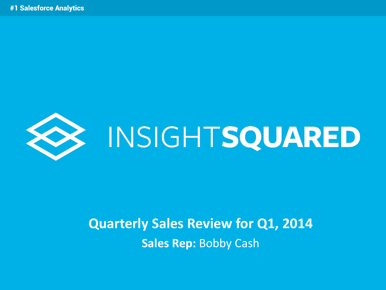

# **EXAMPLE INSIGHTSQUARED**

#### **Quarterly Sales Review for Q1, 2014 Sales Rep:** Bobby Cash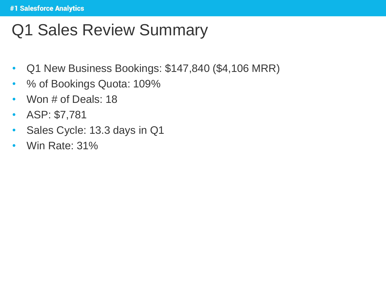# Q1 Sales Review Summary

- Q1 New Business Bookings: \$147,840 (\$4,106 MRR)
- % of Bookings Quota: 109%
- Won # of Deals: 18
- ASP: \$7,781
- Sales Cycle: 13.3 days in Q1
- Win Rate: 31%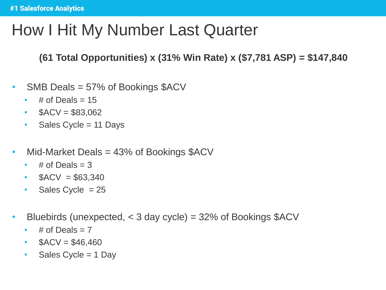# How I Hit My Number Last Quarter

**(61 Total Opportunities) x (31% Win Rate) x (\$7,781 ASP) = \$147,840**

- SMB Deals = 57% of Bookings \$ACV
	- $\cdot$  # of Deals = 15
	- $$ACV = $83,062$
	- Sales Cycle =  $11$  Days
- Mid-Market Deals = 43% of Bookings \$ACV
	- $\cdot$  # of Deals = 3
	- $$ACV = $63,340$
	- Sales Cycle = 25
- Bluebirds (unexpected, < 3 day cycle) = 32% of Bookings \$ACV
	- $\cdot$  # of Deals = 7
	- $$ACV = $46,460$
	- Sales Cycle = 1 Day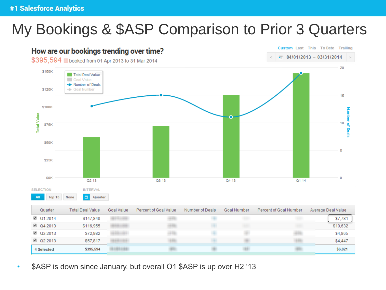### My Bookings & \$ASP Comparison to Prior 3 Quarters



\$ASP is down since January, but overall Q1 \$ASP is up over H2 '13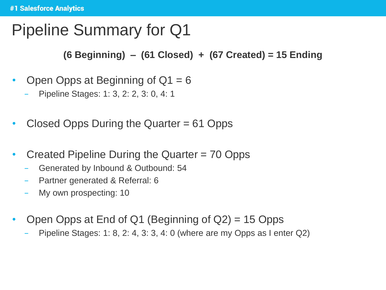# Pipeline Summary for Q1

**(6 Beginning) – (61 Closed) + (67 Created) = 15 Ending**

- Open Opps at Beginning of  $Q1 = 6$ 
	- − Pipeline Stages: 1: 3, 2: 2, 3: 0, 4: 1
- Closed Opps During the Quarter = 61 Opps
- Created Pipeline During the Quarter = 70 Opps
	- − Generated by Inbound & Outbound: 54
	- − Partner generated & Referral: 6
	- − My own prospecting: 10
- Open Opps at End of Q1 (Beginning of  $Q2$ ) = 15 Opps
	- − Pipeline Stages: 1: 8, 2: 4, 3: 3, 4: 0 (where are my Opps as I enter Q2)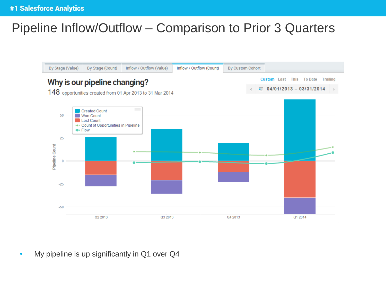#### Pipeline Inflow/Outflow – Comparison to Prior 3 Quarters



• My pipeline is up significantly in Q1 over Q4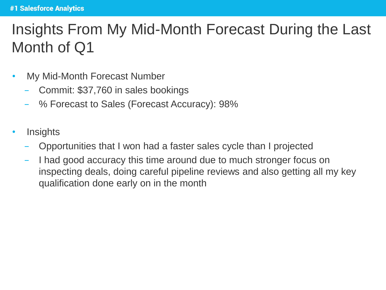### Insights From My Mid-Month Forecast During the Last Month of Q1

- My Mid-Month Forecast Number
	- − Commit: \$37,760 in sales bookings
	- − % Forecast to Sales (Forecast Accuracy): 98%
- **Insights** 
	- − Opportunities that I won had a faster sales cycle than I projected
	- I had good accuracy this time around due to much stronger focus on inspecting deals, doing careful pipeline reviews and also getting all my key qualification done early on in the month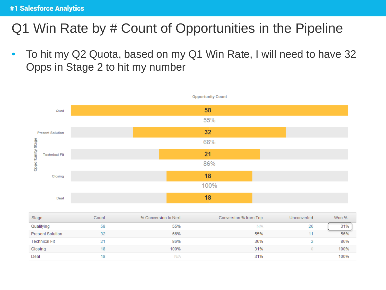#### Q1 Win Rate by # Count of Opportunities in the Pipeline

• To hit my Q2 Quota, based on my Q1 Win Rate, I will need to have 32 Opps in Stage 2 to hit my number

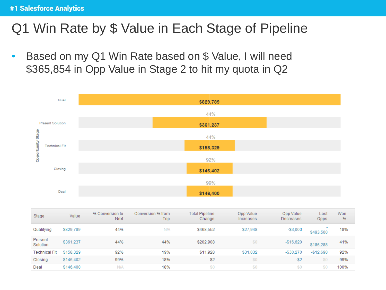#### Q1 Win Rate by \$ Value in Each Stage of Pipeline

• Based on my Q1 Win Rate based on \$ Value, I will need \$365,854 in Opp Value in Stage 2 to hit my quota in Q2



| Stage                | Value     | % Conversion to<br>Next | Conversion % from<br>Top | <b>Total Pipeline</b><br>Change | Opp Value<br>Increases | Opp Value<br>Decreases | Lost<br>Opps | Won<br>% |
|----------------------|-----------|-------------------------|--------------------------|---------------------------------|------------------------|------------------------|--------------|----------|
| Qualifying           | \$829,789 | 44%                     | <b>N/A</b>               | \$468,552                       | \$27,948               | $-$3,000$              | \$493,500    | 18%      |
| Present<br>Solution  | \$361,237 | 44%                     | 44%                      | \$202,908                       | \$0                    | $-$16,620$             | \$186,288    | 41%      |
| <b>Technical Fit</b> | \$158,329 | 92%                     | 19%                      | \$11,928                        | \$31,032               | $-$30,270$             | $-$12,690$   | 92%      |
| Closing              | \$146,402 | 99%                     | 18%                      | \$2                             | \$0                    | $-52$                  | \$0          | 99%      |
| Deal                 | \$146,400 | <b>N/A</b>              | 18%                      | \$0                             | \$0                    | \$0                    | \$0          | 100%     |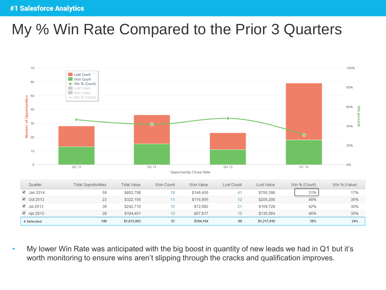### My % Win Rate Compared to the Prior 3 Quarters



• My lower Win Rate was anticipated with the big boost in quantity of new leads we had in Q1 but it's worth monitoring to ensure wins aren't slipping through the cracks and qualification improves.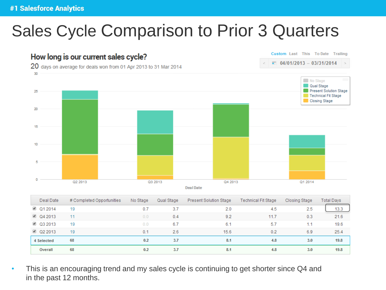# Sales Cycle Comparison to Prior 3 Quarters



| Deal Date      | # Completed Opportunities | No Stage | Qual Stage | <b>Present Solution Stage</b> | <b>Technical Fit Stage</b> | Closing Stage | Total Days |
|----------------|---------------------------|----------|------------|-------------------------------|----------------------------|---------------|------------|
| ■ Q1 2014      | 19                        | 0.7      | 3.7        | 2.0                           | 4.5                        | 2.5           | 13.3       |
| $\Box$ Q4 2013 | 11                        | 0.0      | 0.4        | 9.2                           | 11.7                       | 0.3           | 21.6       |
| ■ Q3 2013      | 19                        | 0.0      | 6.7        | 6.1                           | 5.7                        |               | 19.6       |
| ■ Q2 2013      | 19                        | 0.1      | 2.6        | 15.6                          | 0.2                        | 6.9           | 25.4       |
| 4 Selected     | 68                        | 0.2      | 3.7        | 8.1                           | 4.8                        | 3.0           | 19.8       |
| Overall        | 68                        | 0.2      | 3.7        | 8.1                           | 4.8                        | 3.0           | 19.8       |

• This is an encouraging trend and my sales cycle is continuing to get shorter since Q4 and in the past 12 months.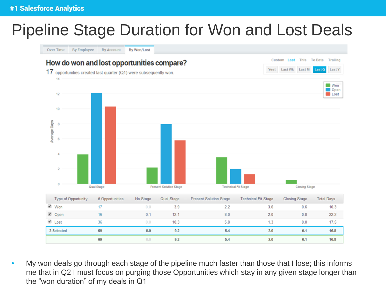### Pipeline Stage Duration for Won and Lost Deals



• My won deals go through each stage of the pipeline much faster than those that I lose; this informs me that in Q2 I must focus on purging those Opportunities which stay in any given stage longer than the "won duration" of my deals in Q1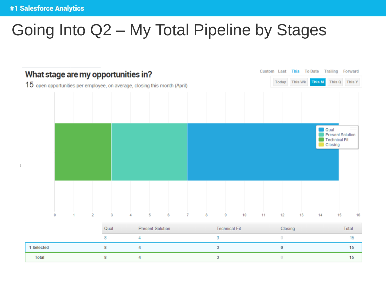# Going Into Q2 – My Total Pipeline by Stages

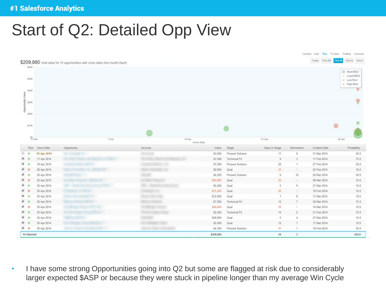# Start of Q2: Detailed Opp View

|                                                                                   |                                                                                |         |                    |                          |                       |              |                            | Custom Last This To Date Trailing Forward |
|-----------------------------------------------------------------------------------|--------------------------------------------------------------------------------|---------|--------------------|--------------------------|-----------------------|--------------|----------------------------|-------------------------------------------|
|                                                                                   | \$209,880 total value for 15 opportunities with close dates this month (April) |         |                    |                          |                       |              | Today This Wk              | This M This Q This Y                      |
| \$60K                                                                             |                                                                                |         |                    |                          |                       |              |                            | Most Efford                               |
| \$50K                                                                             |                                                                                |         |                    |                          |                       |              |                            | - Least Effort                            |
|                                                                                   |                                                                                |         |                    |                          |                       |              |                            | · Low Risk<br><b>B</b> High Risk          |
|                                                                                   |                                                                                |         |                    |                          |                       |              |                            |                                           |
| \$40K                                                                             |                                                                                |         |                    |                          |                       |              |                            |                                           |
|                                                                                   |                                                                                |         |                    |                          |                       |              |                            | Q                                         |
| \$30K                                                                             |                                                                                |         |                    |                          |                       |              |                            |                                           |
|                                                                                   |                                                                                |         |                    |                          |                       |              |                            |                                           |
| \$20K                                                                             |                                                                                |         |                    |                          |                       |              |                            |                                           |
|                                                                                   |                                                                                |         |                    |                          |                       |              |                            |                                           |
| \$10K                                                                             |                                                                                |         |                    |                          |                       |              |                            | O                                         |
|                                                                                   |                                                                                |         |                    |                          |                       |              |                            |                                           |
| $\frac{40}{31}$ -Mar                                                              | T-Apr                                                                          | 14-Apr. |                    |                          | 21-Apr                |              |                            | 26-Apr                                    |
|                                                                                   |                                                                                |         | Close Date         |                          |                       |              |                            |                                           |
| Risk Close Date                                                                   | Opportunity                                                                    | Account | Value              | Stage                    | Days in Stage         | Momentum     | Created Date               | Probability                               |
| 01 Apr 2014<br>$\circ$                                                            |                                                                                | $-100$  | \$3,000            | Present Solution         | 31                    | 6.           | 21 Mar 2014                | 50.0                                      |
| $\mathcal{B}$ 0<br>11 Apr 2014                                                    |                                                                                |         | \$3,360            | Technical Fit            | $\sqrt{6}$            | 3            | 11 Feb 2014                | 75.0                                      |
| 90<br>18 Apr 2014                                                                 |                                                                                |         | \$7,200            | Present Solution         | $22\,$                |              | 27 Feb 2014                | 50.0                                      |
| $\bullet$<br>28 Apr 2014                                                          |                                                                                |         | \$9,600            | Qual                     | 35                    | $\mathbb{D}$ | 25 Feb 2014                | 10.0.                                     |
| ⊛ ⊛<br>30 Apr 2014                                                                |                                                                                |         | \$4,200            | Present Solution         | 6                     | 12           | 26 Mar 2014                | 50.0                                      |
| $\mathbf{2}$ 0<br>30 Apr 2014                                                     |                                                                                |         | \$40,800           | Qual                     | 26.                   |              | 06 Mar 2014                | 10.0                                      |
| <b>2</b> 0<br>30 Apr 2014                                                         |                                                                                |         | \$5,400            | Qual                     | s.                    | 3            | 27 Mar 2014                | 10.0                                      |
| $\mathcal{D}$ 0<br>30 Apr 2014                                                    |                                                                                |         | \$31,200           | Qual                     | 50                    |              | 10 Feb 2014                | 10:0                                      |
|                                                                                   |                                                                                |         | \$12,000           | Qual                     | $\mathbf{1}$          | g.           | 31 Mar 2014                | 10:0                                      |
| 30 Apr 2014                                                                       |                                                                                |         | 57,200             | Technical Fit            | 12                    | $\tau$       | 20 Mar 2014                | 75.0                                      |
| 30 Apr 2014                                                                       |                                                                                |         |                    |                          |                       |              |                            |                                           |
| 30 Apr 2014                                                                       |                                                                                |         | \$48,000           | Qual                     | 18                    |              | 14 Mar 2014                | 10.0                                      |
| 30 Apr 2014                                                                       |                                                                                |         | \$2,400            | Technical Fit            | $^{\rm 14}$           | $\mathbf{2}$ | 21 Feb 2014                | 75.0                                      |
| 30 Apr 2014                                                                       |                                                                                |         | \$28,800           | Qual                     | 5.                    | 4            | 27 Mar 2014                | 10.0                                      |
| ⊗ ⊜<br>₩ 0<br>⊗ ⊚<br>90<br>Ю о<br>⊛ ⊛<br>30 Apr 2014<br><b>K</b> O<br>30 Apr 2014 |                                                                                |         | \$2,400<br>\$4,320 | Qual<br>Present Solution | 15 <sub>1</sub><br>41 | 1<br>1       | 17 Mar 2014<br>19 Feb 2014 | 10.0<br>50.0                              |

• I have some strong Opportunities going into Q2 but some are flagged at risk due to considerably larger expected \$ASP or because they were stuck in pipeline longer than my average Win Cycle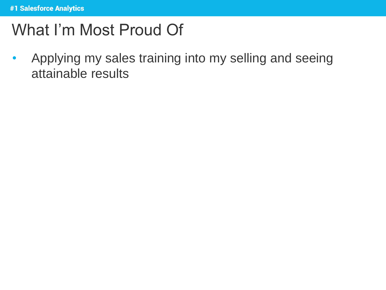# What I'm Most Proud Of

• Applying my sales training into my selling and seeing attainable results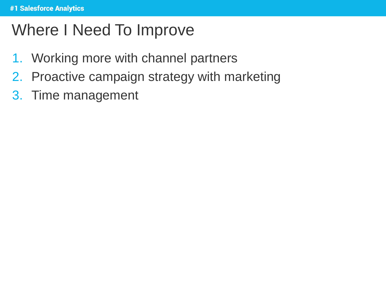# Where I Need To Improve

- 1. Working more with channel partners
- 2. Proactive campaign strategy with marketing
- 3. Time management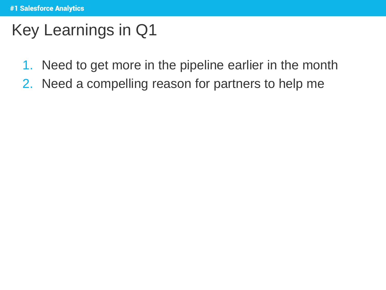# Key Learnings in Q1

- 1. Need to get more in the pipeline earlier in the month
- 2. Need a compelling reason for partners to help me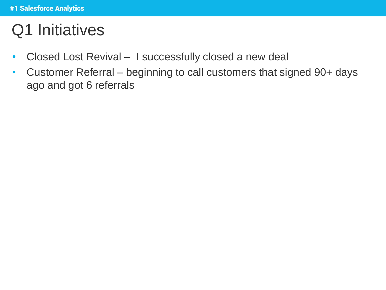# Q1 Initiatives

- Closed Lost Revival I successfully closed a new deal
- Customer Referral beginning to call customers that signed 90+ days ago and got 6 referrals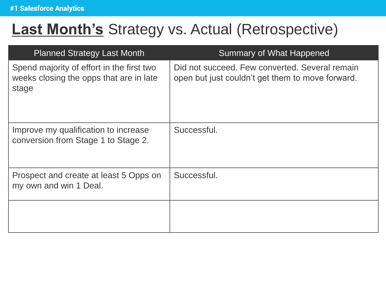#### **Last Month's** Strategy vs. Actual (Retrospective)

| <b>Planned Strategy Last Month</b>                                                            | <b>Summary of What Happened</b>                                                                    |
|-----------------------------------------------------------------------------------------------|----------------------------------------------------------------------------------------------------|
| Spend majority of effort in the first two<br>weeks closing the opps that are in late<br>stage | Did not succeed. Few converted. Several remain<br>open but just couldn't get them to move forward. |
| Improve my qualification to increase<br>conversion from Stage 1 to Stage 2.                   | Successful.                                                                                        |
| Prospect and create at least 5 Opps on<br>my own and win 1 Deal.                              | Successful.                                                                                        |
|                                                                                               |                                                                                                    |